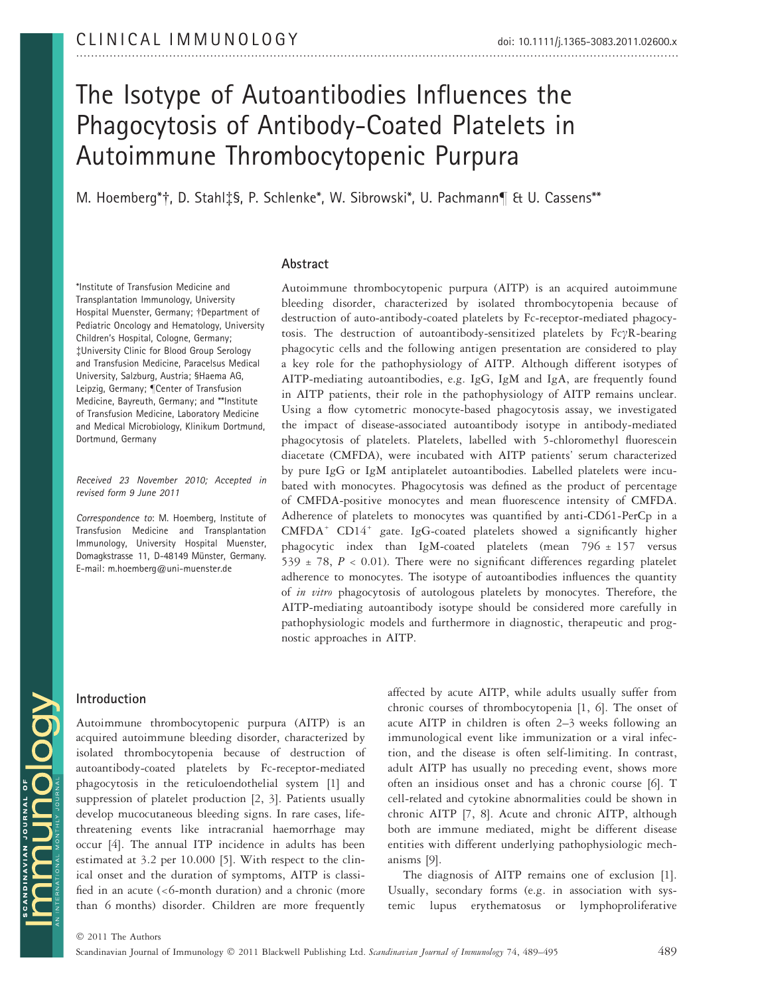# The Isotype of Autoantibodies Influences the Phagocytosis of Antibody-Coated Platelets in Autoimmune Thrombocytopenic Purpura

M. Hoemberg\*†, D. Stahl‡§, P. Schlenke\*, W. Sibrowski\*, U. Pachmann¶ & U. Cassens\*\*

# Abstract

\*Institute of Transfusion Medicine and Transplantation Immunology, University Hospital Muenster, Germany; †Department of Pediatric Oncology and Hematology, University Children's Hospital, Cologne, Germany; University Clinic for Blood Group Serology and Transfusion Medicine, Paracelsus Medical University, Salzburg, Austria; §Haema AG, Leipzig, Germany; ¶Center of Transfusion Medicine, Bayreuth, Germany; and \*\*Institute of Transfusion Medicine, Laboratory Medicine and Medical Microbiology, Klinikum Dortmund, Dortmund, Germany

Received 23 November 2010; Accepted in revised form 9 June 2011

Correspondence to: M. Hoemberg, Institute of Transfusion Medicine and Transplantation Immunology, University Hospital Muenster, Domagkstrasse 11, D-48149 Münster, Germany. E-mail: m.hoemberg@uni-muenster.de

Autoimmune thrombocytopenic purpura (AITP) is an acquired autoimmune bleeding disorder, characterized by isolated thrombocytopenia because of destruction of auto-antibody-coated platelets by Fc-receptor-mediated phagocytosis. The destruction of autoantibody-sensitized platelets by  $Fc\gamma R$ -bearing phagocytic cells and the following antigen presentation are considered to play a key role for the pathophysiology of AITP. Although different isotypes of AITP-mediating autoantibodies, e.g. IgG, IgM and IgA, are frequently found in AITP patients, their role in the pathophysiology of AITP remains unclear. Using a flow cytometric monocyte-based phagocytosis assay, we investigated the impact of disease-associated autoantibody isotype in antibody-mediated phagocytosis of platelets. Platelets, labelled with 5-chloromethyl fluorescein diacetate (CMFDA), were incubated with AITP patients' serum characterized by pure IgG or IgM antiplatelet autoantibodies. Labelled platelets were incubated with monocytes. Phagocytosis was defined as the product of percentage of CMFDA-positive monocytes and mean fluorescence intensity of CMFDA. Adherence of platelets to monocytes was quantified by anti-CD61-PerCp in a  $CMFDA<sup>+</sup> CD14<sup>+</sup>$  gate. IgG-coated platelets showed a significantly higher phagocytic index than IgM-coated platelets (mean  $796 \pm 157$  versus 539  $\pm$  78, P < 0.01). There were no significant differences regarding platelet adherence to monocytes. The isotype of autoantibodies influences the quantity of in vitro phagocytosis of autologous platelets by monocytes. Therefore, the AITP-mediating autoantibody isotype should be considered more carefully in pathophysiologic models and furthermore in diagnostic, therapeutic and prognostic approaches in AITP.

# **MUNOLOGY**

# Introduction

Autoimmune thrombocytopenic purpura (AITP) is an acquired autoimmune bleeding disorder, characterized by isolated thrombocytopenia because of destruction of autoantibody-coated platelets by Fc-receptor-mediated phagocytosis in the reticuloendothelial system [1] and suppression of platelet production [2, 3]. Patients usually develop mucocutaneous bleeding signs. In rare cases, lifethreatening events like intracranial haemorrhage may occur [4]. The annual ITP incidence in adults has been estimated at 3.2 per 10.000 [5]. With respect to the clinical onset and the duration of symptoms, AITP is classified in an acute (<6-month duration) and a chronic (more than 6 months) disorder. Children are more frequently affected by acute AITP, while adults usually suffer from chronic courses of thrombocytopenia [1, 6]. The onset of acute AITP in children is often 2–3 weeks following an immunological event like immunization or a viral infection, and the disease is often self-limiting. In contrast, adult AITP has usually no preceding event, shows more often an insidious onset and has a chronic course [6]. T cell-related and cytokine abnormalities could be shown in chronic AITP [7, 8]. Acute and chronic AITP, although both are immune mediated, might be different disease entities with different underlying pathophysiologic mechanisms [9].

The diagnosis of AITP remains one of exclusion [1]. Usually, secondary forms (e.g. in association with systemic lupus erythematosus or lymphoproliferative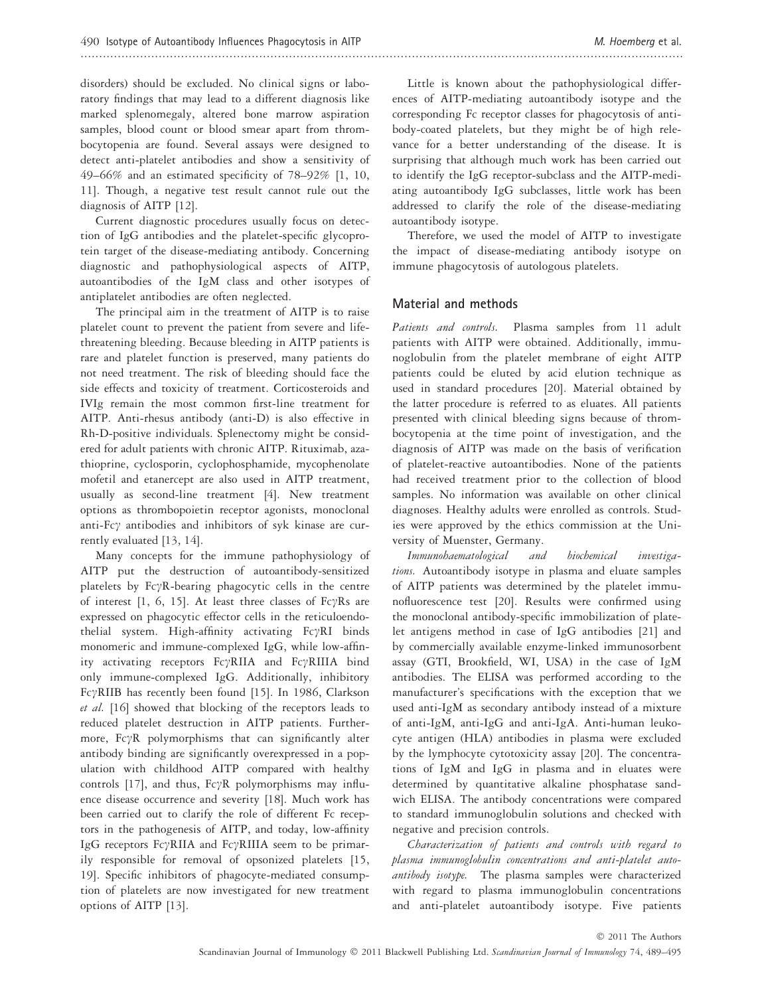disorders) should be excluded. No clinical signs or laboratory findings that may lead to a different diagnosis like marked splenomegaly, altered bone marrow aspiration samples, blood count or blood smear apart from thrombocytopenia are found. Several assays were designed to detect anti-platelet antibodies and show a sensitivity of 49–66% and an estimated specificity of 78–92% [1, 10, 11]. Though, a negative test result cannot rule out the diagnosis of AITP [12].

Current diagnostic procedures usually focus on detection of IgG antibodies and the platelet-specific glycoprotein target of the disease-mediating antibody. Concerning diagnostic and pathophysiological aspects of AITP, autoantibodies of the IgM class and other isotypes of antiplatelet antibodies are often neglected.

The principal aim in the treatment of AITP is to raise platelet count to prevent the patient from severe and lifethreatening bleeding. Because bleeding in AITP patients is rare and platelet function is preserved, many patients do not need treatment. The risk of bleeding should face the side effects and toxicity of treatment. Corticosteroids and IVIg remain the most common first-line treatment for AITP. Anti-rhesus antibody (anti-D) is also effective in Rh-D-positive individuals. Splenectomy might be considered for adult patients with chronic AITP. Rituximab, azathioprine, cyclosporin, cyclophosphamide, mycophenolate mofetil and etanercept are also used in AITP treatment, usually as second-line treatment [4]. New treatment options as thrombopoietin receptor agonists, monoclonal anti-Fc $\gamma$  antibodies and inhibitors of syk kinase are currently evaluated [13, 14].

Many concepts for the immune pathophysiology of AITP put the destruction of autoantibody-sensitized platelets by  $Fc\gamma R$ -bearing phagocytic cells in the centre of interest [1, 6, 15]. At least three classes of  $Fc\gamma Rs$  are expressed on phagocytic effector cells in the reticuloendothelial system. High-affinity activating FcyRI binds monomeric and immune-complexed IgG, while low-affinity activating receptors  $Fc\gamma RIIA$  and  $Fc\gamma RIIIA$  bind only immune-complexed IgG. Additionally, inhibitory Fc $\gamma$ RIIB has recently been found [15]. In 1986, Clarkson et al. [16] showed that blocking of the receptors leads to reduced platelet destruction in AITP patients. Furthermore,  $Fc\gamma R$  polymorphisms that can significantly alter antibody binding are significantly overexpressed in a population with childhood AITP compared with healthy controls [17], and thus,  $Fc\gamma R$  polymorphisms may influence disease occurrence and severity [18]. Much work has been carried out to clarify the role of different Fc receptors in the pathogenesis of AITP, and today, low-affinity IgG receptors  $Fc\gamma RIIA$  and  $Fc\gamma RIIIA$  seem to be primarily responsible for removal of opsonized platelets [15, 19]. Specific inhibitors of phagocyte-mediated consumption of platelets are now investigated for new treatment options of AITP [13].

Little is known about the pathophysiological differences of AITP-mediating autoantibody isotype and the corresponding Fc receptor classes for phagocytosis of antibody-coated platelets, but they might be of high relevance for a better understanding of the disease. It is surprising that although much work has been carried out to identify the IgG receptor-subclass and the AITP-mediating autoantibody IgG subclasses, little work has been addressed to clarify the role of the disease-mediating autoantibody isotype.

Therefore, we used the model of AITP to investigate the impact of disease-mediating antibody isotype on immune phagocytosis of autologous platelets.

# Material and methods

Patients and controls. Plasma samples from 11 adult patients with AITP were obtained. Additionally, immunoglobulin from the platelet membrane of eight AITP patients could be eluted by acid elution technique as used in standard procedures [20]. Material obtained by the latter procedure is referred to as eluates. All patients presented with clinical bleeding signs because of thrombocytopenia at the time point of investigation, and the diagnosis of AITP was made on the basis of verification of platelet-reactive autoantibodies. None of the patients had received treatment prior to the collection of blood samples. No information was available on other clinical diagnoses. Healthy adults were enrolled as controls. Studies were approved by the ethics commission at the University of Muenster, Germany.

Immunohaematological and biochemical investigations. Autoantibody isotype in plasma and eluate samples of AITP patients was determined by the platelet immunofluorescence test [20]. Results were confirmed using the monoclonal antibody-specific immobilization of platelet antigens method in case of IgG antibodies [21] and by commercially available enzyme-linked immunosorbent assay (GTI, Brookfield, WI, USA) in the case of IgM antibodies. The ELISA was performed according to the manufacturer's specifications with the exception that we used anti-IgM as secondary antibody instead of a mixture of anti-IgM, anti-IgG and anti-IgA. Anti-human leukocyte antigen (HLA) antibodies in plasma were excluded by the lymphocyte cytotoxicity assay [20]. The concentrations of IgM and IgG in plasma and in eluates were determined by quantitative alkaline phosphatase sandwich ELISA. The antibody concentrations were compared to standard immunoglobulin solutions and checked with negative and precision controls.

Characterization of patients and controls with regard to plasma immunoglobulin concentrations and anti-platelet autoantibody isotype. The plasma samples were characterized with regard to plasma immunoglobulin concentrations and anti-platelet autoantibody isotype. Five patients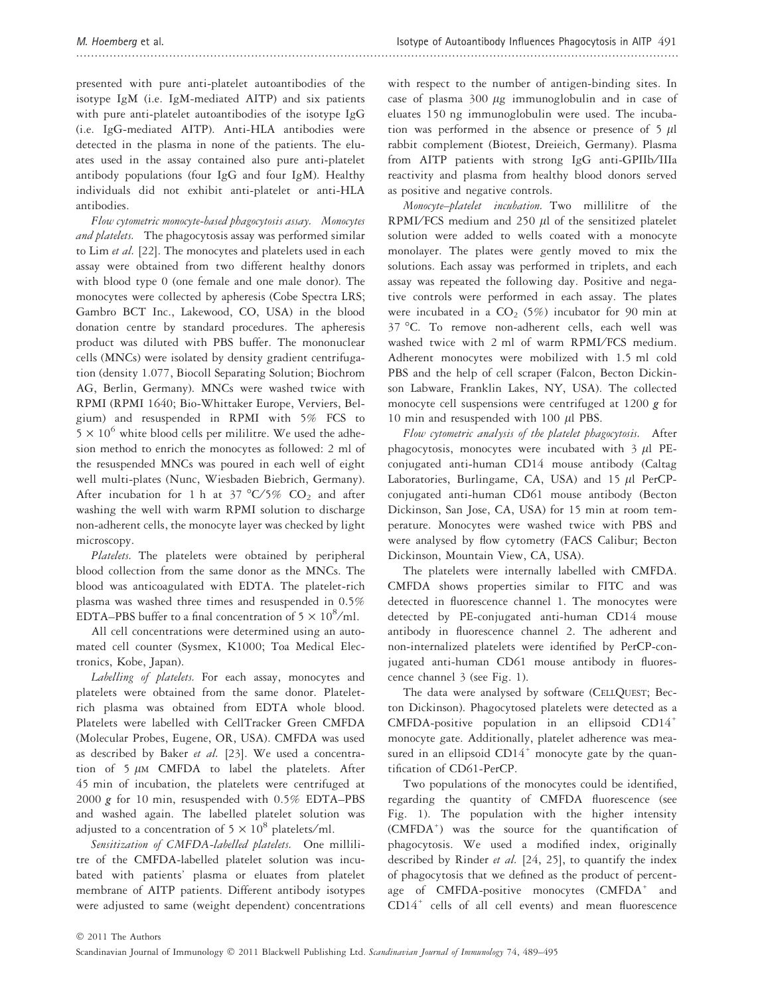presented with pure anti-platelet autoantibodies of the isotype IgM (i.e. IgM-mediated AITP) and six patients with pure anti-platelet autoantibodies of the isotype IgG (i.e. IgG-mediated AITP). Anti-HLA antibodies were detected in the plasma in none of the patients. The eluates used in the assay contained also pure anti-platelet antibody populations (four IgG and four IgM). Healthy individuals did not exhibit anti-platelet or anti-HLA antibodies.

Flow cytometric monocyte-based phagocytosis assay. Monocytes and platelets. The phagocytosis assay was performed similar to Lim et al. [22]. The monocytes and platelets used in each assay were obtained from two different healthy donors with blood type 0 (one female and one male donor). The monocytes were collected by apheresis (Cobe Spectra LRS; Gambro BCT Inc., Lakewood, CO, USA) in the blood donation centre by standard procedures. The apheresis product was diluted with PBS buffer. The mononuclear cells (MNCs) were isolated by density gradient centrifugation (density 1.077, Biocoll Separating Solution; Biochrom AG, Berlin, Germany). MNCs were washed twice with RPMI (RPMI 1640; Bio-Whittaker Europe, Verviers, Belgium) and resuspended in RPMI with 5% FCS to  $5 \times 10^6$  white blood cells per mililitre. We used the adhesion method to enrich the monocytes as followed: 2 ml of the resuspended MNCs was poured in each well of eight well multi-plates (Nunc, Wiesbaden Biebrich, Germany). After incubation for 1 h at 37 °C/5% CO<sub>2</sub> and after washing the well with warm RPMI solution to discharge non-adherent cells, the monocyte layer was checked by light microscopy.

Platelets. The platelets were obtained by peripheral blood collection from the same donor as the MNCs. The blood was anticoagulated with EDTA. The platelet-rich plasma was washed three times and resuspended in 0.5% EDTA–PBS buffer to a final concentration of  $5 \times 10^8$ /ml.

All cell concentrations were determined using an automated cell counter (Sysmex, K1000; Toa Medical Electronics, Kobe, Japan).

Labelling of platelets. For each assay, monocytes and platelets were obtained from the same donor. Plateletrich plasma was obtained from EDTA whole blood. Platelets were labelled with CellTracker Green CMFDA (Molecular Probes, Eugene, OR, USA). CMFDA was used as described by Baker et al.  $[23]$ . We used a concentration of  $5 \mu$ M CMFDA to label the platelets. After 45 min of incubation, the platelets were centrifuged at 2000 g for 10 min, resuspended with  $0.5\%$  EDTA–PBS and washed again. The labelled platelet solution was adjusted to a concentration of  $5 \times 10^8$  platelets/ml.

Sensitization of CMFDA-labelled platelets. One millilitre of the CMFDA-labelled platelet solution was incubated with patients' plasma or eluates from platelet membrane of AITP patients. Different antibody isotypes were adjusted to same (weight dependent) concentrations

with respect to the number of antigen-binding sites. In case of plasma  $300 \mu$ g immunoglobulin and in case of eluates 150 ng immunoglobulin were used. The incubation was performed in the absence or presence of  $5 \mu$ l rabbit complement (Biotest, Dreieich, Germany). Plasma from AITP patients with strong IgG anti-GPIIb/IIIa reactivity and plasma from healthy blood donors served as positive and negative controls.

Monocyte–platelet incubation. Two millilitre of the RPMI/FCS medium and 250  $\mu$ l of the sensitized platelet solution were added to wells coated with a monocyte monolayer. The plates were gently moved to mix the solutions. Each assay was performed in triplets, and each assay was repeated the following day. Positive and negative controls were performed in each assay. The plates were incubated in a  $CO<sub>2</sub>$  (5%) incubator for 90 min at 37 °C. To remove non-adherent cells, each well was washed twice with 2 ml of warm RPMI⁄ FCS medium. Adherent monocytes were mobilized with 1.5 ml cold PBS and the help of cell scraper (Falcon, Becton Dickinson Labware, Franklin Lakes, NY, USA). The collected monocyte cell suspensions were centrifuged at  $1200 g$  for 10 min and resuspended with 100  $\mu$ l PBS.

Flow cytometric analysis of the platelet phagocytosis. After phagocytosis, monocytes were incubated with  $3 \mu$ l PEconjugated anti-human CD14 mouse antibody (Caltag Laboratories, Burlingame, CA, USA) and 15  $\mu$ l PerCPconjugated anti-human CD61 mouse antibody (Becton Dickinson, San Jose, CA, USA) for 15 min at room temperature. Monocytes were washed twice with PBS and were analysed by flow cytometry (FACS Calibur; Becton Dickinson, Mountain View, CA, USA).

The platelets were internally labelled with CMFDA. CMFDA shows properties similar to FITC and was detected in fluorescence channel 1. The monocytes were detected by PE-conjugated anti-human CD14 mouse antibody in fluorescence channel 2. The adherent and non-internalized platelets were identified by PerCP-conjugated anti-human CD61 mouse antibody in fluorescence channel 3 (see Fig. 1).

The data were analysed by software (CELLQUEST; Becton Dickinson). Phagocytosed platelets were detected as a CMFDA-positive population in an ellipsoid CD14<sup>+</sup> monocyte gate. Additionally, platelet adherence was measured in an ellipsoid  $CD14<sup>+</sup>$  monocyte gate by the quantification of CD61-PerCP.

Two populations of the monocytes could be identified, regarding the quantity of CMFDA fluorescence (see Fig. 1). The population with the higher intensity (CMFDA<sup>+</sup> ) was the source for the quantification of phagocytosis. We used a modified index, originally described by Rinder et al. [24, 25], to quantify the index of phagocytosis that we defined as the product of percentage of CMFDA-positive monocytes (CMFDA<sup>+</sup> and CD14<sup>+</sup> cells of all cell events) and mean fluorescence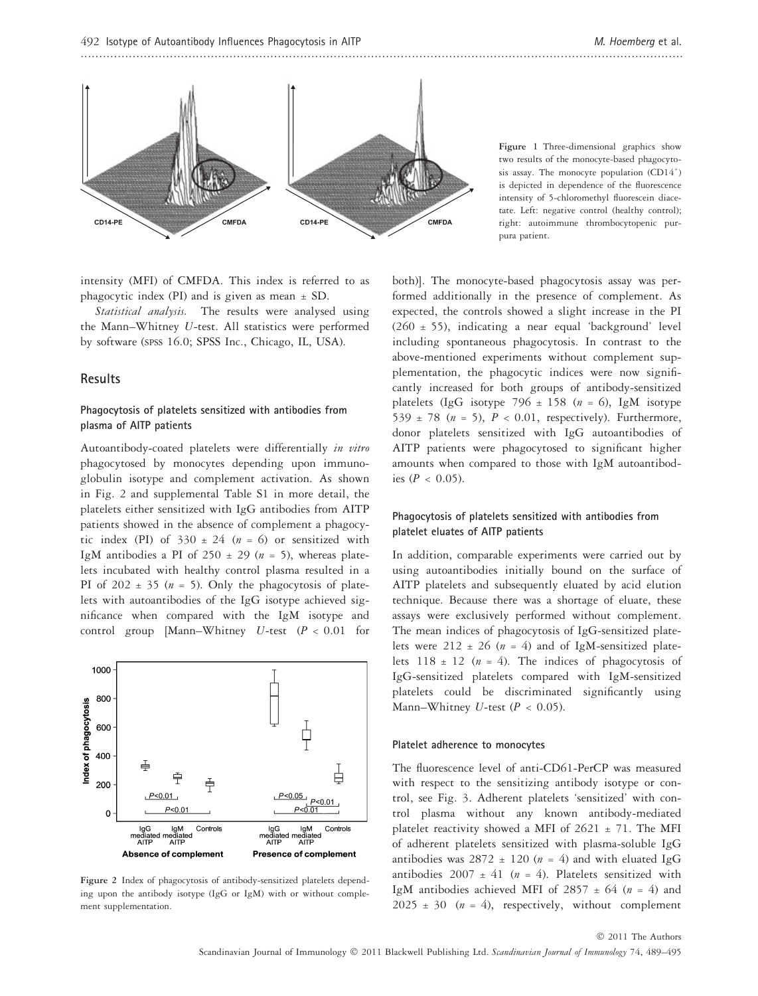..................................................................................................................................................................



Figure 1 Three-dimensional graphics show two results of the monocyte-based phagocytosis assay. The monocyte population (CD14<sup>+</sup>) is depicted in dependence of the fluorescence intensity of 5-chloromethyl fluorescein diacetate. Left: negative control (healthy control); right: autoimmune thrombocytopenic purpura patient.

intensity (MFI) of CMFDA. This index is referred to as phagocytic index (PI) and is given as mean  $\pm$  SD.

Statistical analysis. The results were analysed using the Mann–Whitney U-test. All statistics were performed by software (SPSS 16.0; SPSS Inc., Chicago, IL, USA).

### **Results**

# Phagocytosis of platelets sensitized with antibodies from plasma of AITP patients

Autoantibody-coated platelets were differentially in vitro phagocytosed by monocytes depending upon immunoglobulin isotype and complement activation. As shown in Fig. 2 and supplemental Table S1 in more detail, the platelets either sensitized with IgG antibodies from AITP patients showed in the absence of complement a phagocytic index (PI) of  $330 \pm 24$  (n = 6) or sensitized with IgM antibodies a PI of 250  $\pm$  29 (n = 5), whereas platelets incubated with healthy control plasma resulted in a PI of 202  $\pm$  35 (n = 5). Only the phagocytosis of platelets with autoantibodies of the IgG isotype achieved significance when compared with the IgM isotype and control group [Mann–Whitney  $U$ -test ( $P < 0.01$  for



Figure 2 Index of phagocytosis of antibody-sensitized platelets depending upon the antibody isotype (IgG or IgM) with or without complement supplementation.

both)]. The monocyte-based phagocytosis assay was performed additionally in the presence of complement. As expected, the controls showed a slight increase in the PI (260  $\pm$  55), indicating a near equal 'background' level including spontaneous phagocytosis. In contrast to the above-mentioned experiments without complement supplementation, the phagocytic indices were now significantly increased for both groups of antibody-sensitized platelets (IgG isotype 796  $\pm$  158 (n = 6), IgM isotype  $539 \pm 78$  ( $n = 5$ ),  $P < 0.01$ , respectively). Furthermore, donor platelets sensitized with IgG autoantibodies of AITP patients were phagocytosed to significant higher amounts when compared to those with IgM autoantibodies ( $P < 0.05$ ).

### Phagocytosis of platelets sensitized with antibodies from platelet eluates of AITP patients

In addition, comparable experiments were carried out by using autoantibodies initially bound on the surface of AITP platelets and subsequently eluated by acid elution technique. Because there was a shortage of eluate, these assays were exclusively performed without complement. The mean indices of phagocytosis of IgG-sensitized platelets were 212  $\pm$  26 (n = 4) and of IgM-sensitized platelets  $118 \pm 12$  (*n* = 4). The indices of phagocytosis of IgG-sensitized platelets compared with IgM-sensitized platelets could be discriminated significantly using Mann–Whitney  $U$ -test ( $P < 0.05$ ).

### Platelet adherence to monocytes

The fluorescence level of anti-CD61-PerCP was measured with respect to the sensitizing antibody isotype or control, see Fig. 3. Adherent platelets 'sensitized' with control plasma without any known antibody-mediated platelet reactivity showed a MFI of 2621  $\pm$  71. The MFI of adherent platelets sensitized with plasma-soluble IgG antibodies was  $2872 \pm 120$  ( $n = 4$ ) and with eluated IgG antibodies 2007  $\pm$  41 (*n* = 4). Platelets sensitized with IgM antibodies achieved MFI of 2857  $\pm$  64 (n = 4) and  $2025 \pm 30$  (*n* = 4), respectively, without complement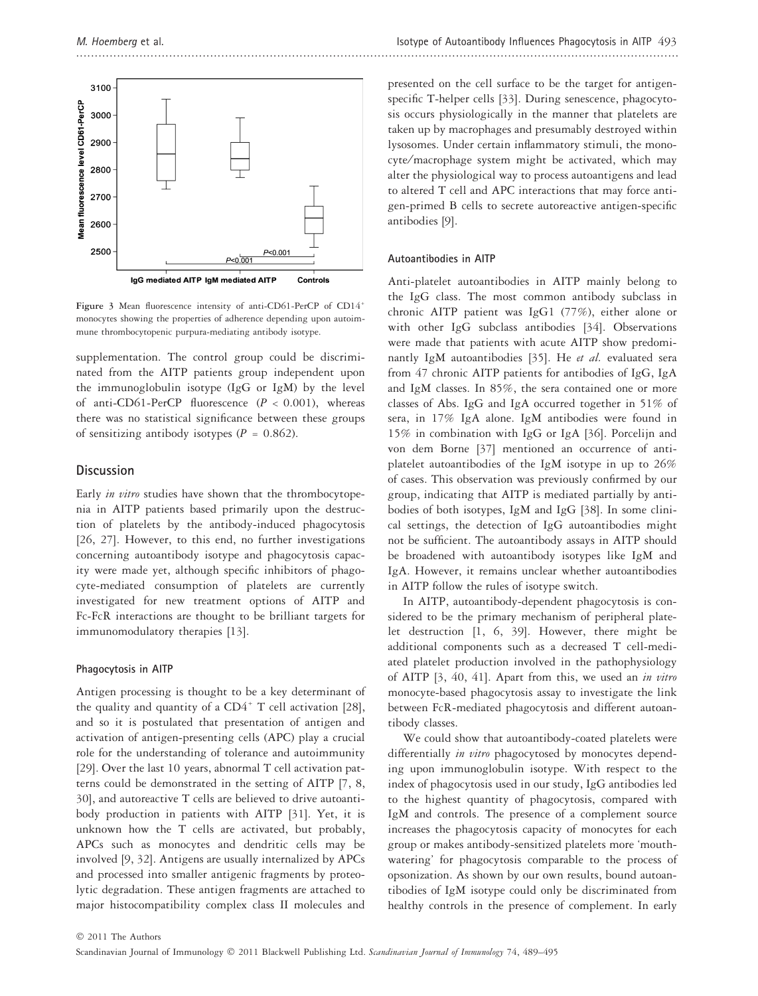

Figure 3 Mean fluorescence intensity of anti-CD61-PerCP of CD14<sup>+</sup> monocytes showing the properties of adherence depending upon autoimmune thrombocytopenic purpura-mediating antibody isotype.

supplementation. The control group could be discriminated from the AITP patients group independent upon the immunoglobulin isotype (IgG or IgM) by the level of anti-CD61-PerCP fluorescence  $(P < 0.001)$ , whereas there was no statistical significance between these groups of sensitizing antibody isotypes ( $P = 0.862$ ).

# **Discussion**

Early *in vitro* studies have shown that the thrombocytopenia in AITP patients based primarily upon the destruction of platelets by the antibody-induced phagocytosis [26, 27]. However, to this end, no further investigations concerning autoantibody isotype and phagocytosis capacity were made yet, although specific inhibitors of phagocyte-mediated consumption of platelets are currently investigated for new treatment options of AITP and Fc-FcR interactions are thought to be brilliant targets for immunomodulatory therapies [13].

### Phagocytosis in AITP

Antigen processing is thought to be a key determinant of the quality and quantity of a  $CD4^+$  T cell activation [28], and so it is postulated that presentation of antigen and activation of antigen-presenting cells (APC) play a crucial role for the understanding of tolerance and autoimmunity [29]. Over the last 10 years, abnormal T cell activation patterns could be demonstrated in the setting of AITP [7, 8, 30], and autoreactive T cells are believed to drive autoantibody production in patients with AITP [31]. Yet, it is unknown how the T cells are activated, but probably, APCs such as monocytes and dendritic cells may be involved [9, 32]. Antigens are usually internalized by APCs and processed into smaller antigenic fragments by proteolytic degradation. These antigen fragments are attached to major histocompatibility complex class II molecules and

presented on the cell surface to be the target for antigenspecific T-helper cells [33]. During senescence, phagocytosis occurs physiologically in the manner that platelets are taken up by macrophages and presumably destroyed within lysosomes. Under certain inflammatory stimuli, the monocyte⁄macrophage system might be activated, which may alter the physiological way to process autoantigens and lead to altered T cell and APC interactions that may force antigen-primed B cells to secrete autoreactive antigen-specific antibodies [9].

### Autoantibodies in AITP

Anti-platelet autoantibodies in AITP mainly belong to the IgG class. The most common antibody subclass in chronic AITP patient was IgG1 (77%), either alone or with other IgG subclass antibodies [34]. Observations were made that patients with acute AITP show predominantly IgM autoantibodies [35]. He et al. evaluated sera from 47 chronic AITP patients for antibodies of IgG, IgA and IgM classes. In 85%, the sera contained one or more classes of Abs. IgG and IgA occurred together in 51% of sera, in 17% IgA alone. IgM antibodies were found in 15% in combination with IgG or IgA [36]. Porcelijn and von dem Borne [37] mentioned an occurrence of antiplatelet autoantibodies of the IgM isotype in up to 26% of cases. This observation was previously confirmed by our group, indicating that AITP is mediated partially by antibodies of both isotypes, IgM and IgG [38]. In some clinical settings, the detection of IgG autoantibodies might not be sufficient. The autoantibody assays in AITP should be broadened with autoantibody isotypes like IgM and IgA. However, it remains unclear whether autoantibodies in AITP follow the rules of isotype switch.

In AITP, autoantibody-dependent phagocytosis is considered to be the primary mechanism of peripheral platelet destruction [1, 6, 39]. However, there might be additional components such as a decreased T cell-mediated platelet production involved in the pathophysiology of AITP  $[3, 40, 41]$ . Apart from this, we used an in vitro monocyte-based phagocytosis assay to investigate the link between FcR-mediated phagocytosis and different autoantibody classes.

We could show that autoantibody-coated platelets were differentially in vitro phagocytosed by monocytes depending upon immunoglobulin isotype. With respect to the index of phagocytosis used in our study, IgG antibodies led to the highest quantity of phagocytosis, compared with IgM and controls. The presence of a complement source increases the phagocytosis capacity of monocytes for each group or makes antibody-sensitized platelets more 'mouthwatering' for phagocytosis comparable to the process of opsonization. As shown by our own results, bound autoantibodies of IgM isotype could only be discriminated from healthy controls in the presence of complement. In early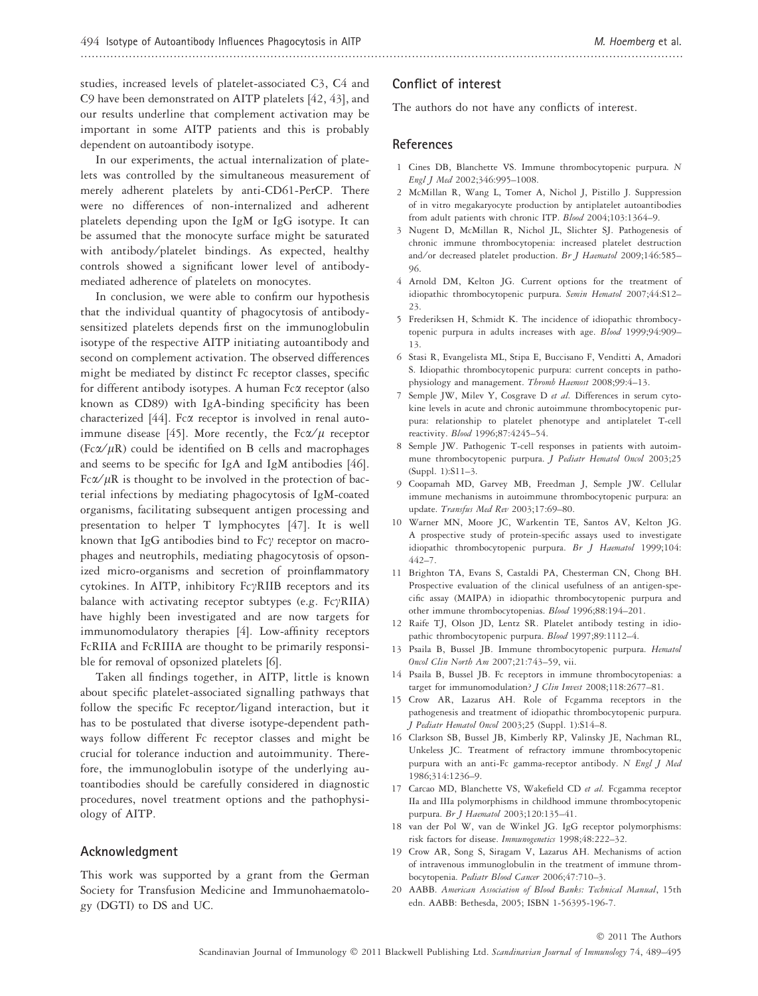studies, increased levels of platelet-associated C3, C4 and C9 have been demonstrated on AITP platelets [42, 43], and our results underline that complement activation may be important in some AITP patients and this is probably dependent on autoantibody isotype.

In our experiments, the actual internalization of platelets was controlled by the simultaneous measurement of merely adherent platelets by anti-CD61-PerCP. There were no differences of non-internalized and adherent platelets depending upon the IgM or IgG isotype. It can be assumed that the monocyte surface might be saturated with antibody/platelet bindings. As expected, healthy controls showed a significant lower level of antibodymediated adherence of platelets on monocytes.

In conclusion, we were able to confirm our hypothesis that the individual quantity of phagocytosis of antibodysensitized platelets depends first on the immunoglobulin isotype of the respective AITP initiating autoantibody and second on complement activation. The observed differences might be mediated by distinct Fc receptor classes, specific for different antibody isotypes. A human Fca receptor (also known as CD89) with IgA-binding specificity has been characterized [44]. Fca receptor is involved in renal autoimmune disease [45]. More recently, the  $Fc\alpha/\mu$  receptor (Fc $\alpha / \mu$ R) could be identified on B cells and macrophages and seems to be specific for IgA and IgM antibodies [46].  $Fc\alpha/\mu R$  is thought to be involved in the protection of bacterial infections by mediating phagocytosis of IgM-coated organisms, facilitating subsequent antigen processing and presentation to helper T lymphocytes [47]. It is well known that IgG antibodies bind to  $Fc\gamma$  receptor on macrophages and neutrophils, mediating phagocytosis of opsonized micro-organisms and secretion of proinflammatory cytokines. In AITP, inhibitory FcyRIIB receptors and its balance with activating receptor subtypes (e.g.  $Fc\gamma RIIA$ ) have highly been investigated and are now targets for immunomodulatory therapies [4]. Low-affinity receptors FcRIIA and FcRIIIA are thought to be primarily responsible for removal of opsonized platelets [6].

Taken all findings together, in AITP, little is known about specific platelet-associated signalling pathways that follow the specific Fc receptor⁄ ligand interaction, but it has to be postulated that diverse isotype-dependent pathways follow different Fc receptor classes and might be crucial for tolerance induction and autoimmunity. Therefore, the immunoglobulin isotype of the underlying autoantibodies should be carefully considered in diagnostic procedures, novel treatment options and the pathophysiology of AITP.

### Acknowledgment

This work was supported by a grant from the German Society for Transfusion Medicine and Immunohaematology (DGTI) to DS and UC.

### Conflict of interest

The authors do not have any conflicts of interest.

### References

- 1 Cines DB, Blanchette VS. Immune thrombocytopenic purpura. N Engl J Med 2002;346:995-1008.
- 2 McMillan R, Wang L, Tomer A, Nichol J, Pistillo J. Suppression of in vitro megakaryocyte production by antiplatelet autoantibodies from adult patients with chronic ITP. Blood 2004;103:1364-9.
- 3 Nugent D, McMillan R, Nichol JL, Slichter SJ. Pathogenesis of chronic immune thrombocytopenia: increased platelet destruction and/or decreased platelet production. Br J Haematol 2009;146:585-96.
- 4 Arnold DM, Kelton JG. Current options for the treatment of idiopathic thrombocytopenic purpura. Semin Hematol 2007;44:S12– 23.
- 5 Frederiksen H, Schmidt K. The incidence of idiopathic thrombocytopenic purpura in adults increases with age. Blood 1999;94:909– 13.
- 6 Stasi R, Evangelista ML, Stipa E, Buccisano F, Venditti A, Amadori S. Idiopathic thrombocytopenic purpura: current concepts in pathophysiology and management. Thromb Haemost 2008;99:4–13.
- 7 Semple JW, Milev Y, Cosgrave D et al. Differences in serum cytokine levels in acute and chronic autoimmune thrombocytopenic purpura: relationship to platelet phenotype and antiplatelet T-cell reactivity. Blood 1996;87:4245–54.
- 8 Semple JW. Pathogenic T-cell responses in patients with autoimmune thrombocytopenic purpura. J Pediatr Hematol Oncol 2003;25 (Suppl. 1):S11–3.
- 9 Coopamah MD, Garvey MB, Freedman J, Semple JW. Cellular immune mechanisms in autoimmune thrombocytopenic purpura: an update. Transfus Med Rev 2003;17:69-80.
- 10 Warner MN, Moore JC, Warkentin TE, Santos AV, Kelton JG. A prospective study of protein-specific assays used to investigate idiopathic thrombocytopenic purpura. Br J Haematol 1999;104: 442–7.
- 11 Brighton TA, Evans S, Castaldi PA, Chesterman CN, Chong BH. Prospective evaluation of the clinical usefulness of an antigen-specific assay (MAIPA) in idiopathic thrombocytopenic purpura and other immune thrombocytopenias. Blood 1996;88:194–201.
- 12 Raife TJ, Olson JD, Lentz SR. Platelet antibody testing in idiopathic thrombocytopenic purpura. Blood 1997;89:1112-4.
- 13 Psaila B, Bussel JB. Immune thrombocytopenic purpura. Hematol Oncol Clin North Am 2007;21:743–59, vii.
- 14 Psaila B, Bussel JB. Fc receptors in immune thrombocytopenias: a target for immunomodulation? *J Clin Invest* 2008;118:2677-81.
- 15 Crow AR, Lazarus AH. Role of Fcgamma receptors in the pathogenesis and treatment of idiopathic thrombocytopenic purpura. J Pediatr Hematol Oncol 2003;25 (Suppl. 1):S14-8.
- 16 Clarkson SB, Bussel JB, Kimberly RP, Valinsky JE, Nachman RL, Unkeless JC. Treatment of refractory immune thrombocytopenic purpura with an anti-Fc gamma-receptor antibody. N Engl J Med 1986;314:1236–9.
- 17 Carcao MD, Blanchette VS, Wakefield CD et al. Fcgamma receptor IIa and IIIa polymorphisms in childhood immune thrombocytopenic purpura. Br J Haematol 2003;120:135–41.
- 18 van der Pol W, van de Winkel JG. IgG receptor polymorphisms: risk factors for disease. Immunogenetics 1998;48:222–32.
- 19 Crow AR, Song S, Siragam V, Lazarus AH. Mechanisms of action of intravenous immunoglobulin in the treatment of immune thrombocytopenia. Pediatr Blood Cancer 2006;47:710–3.
- 20 AABB. American Association of Blood Banks: Technical Manual, 15th edn. AABB: Bethesda, 2005; ISBN 1-56395-196-7.